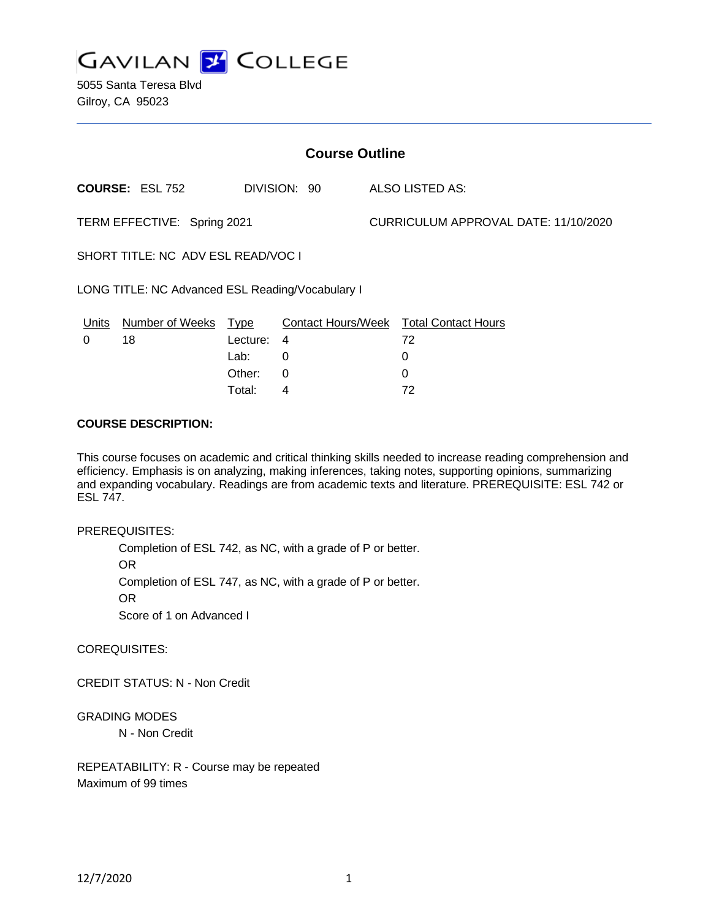

5055 Santa Teresa Blvd Gilroy, CA 95023

| <b>Course Outline</b>                            |                        |             |              |  |                                        |  |
|--------------------------------------------------|------------------------|-------------|--------------|--|----------------------------------------|--|
|                                                  | <b>COURSE: ESL 752</b> |             | DIVISION: 90 |  | ALSO LISTED AS:                        |  |
| TERM EFFECTIVE: Spring 2021                      |                        |             |              |  | CURRICULUM APPROVAL DATE: 11/10/2020   |  |
| SHORT TITLE: NC ADV ESL READ/VOC I               |                        |             |              |  |                                        |  |
| LONG TITLE: NC Advanced ESL Reading/Vocabulary I |                        |             |              |  |                                        |  |
| Units                                            | Number of Weeks        | <b>Type</b> |              |  | Contact Hours/Week Total Contact Hours |  |
| 0                                                | 18                     | Lecture:    | 4            |  | 72                                     |  |
|                                                  |                        | Lab:        | 0            |  | 0                                      |  |
|                                                  |                        | Other:      | 0            |  | 0                                      |  |
|                                                  |                        | Total:      | 4            |  | 72                                     |  |

## **COURSE DESCRIPTION:**

This course focuses on academic and critical thinking skills needed to increase reading comprehension and efficiency. Emphasis is on analyzing, making inferences, taking notes, supporting opinions, summarizing and expanding vocabulary. Readings are from academic texts and literature. PREREQUISITE: ESL 742 or ESL 747.

#### PREREQUISITES:

Completion of ESL 742, as NC, with a grade of P or better. OR Completion of ESL 747, as NC, with a grade of P or better. OR Score of 1 on Advanced I

COREQUISITES:

CREDIT STATUS: N - Non Credit

## GRADING MODES

N - Non Credit

REPEATABILITY: R - Course may be repeated Maximum of 99 times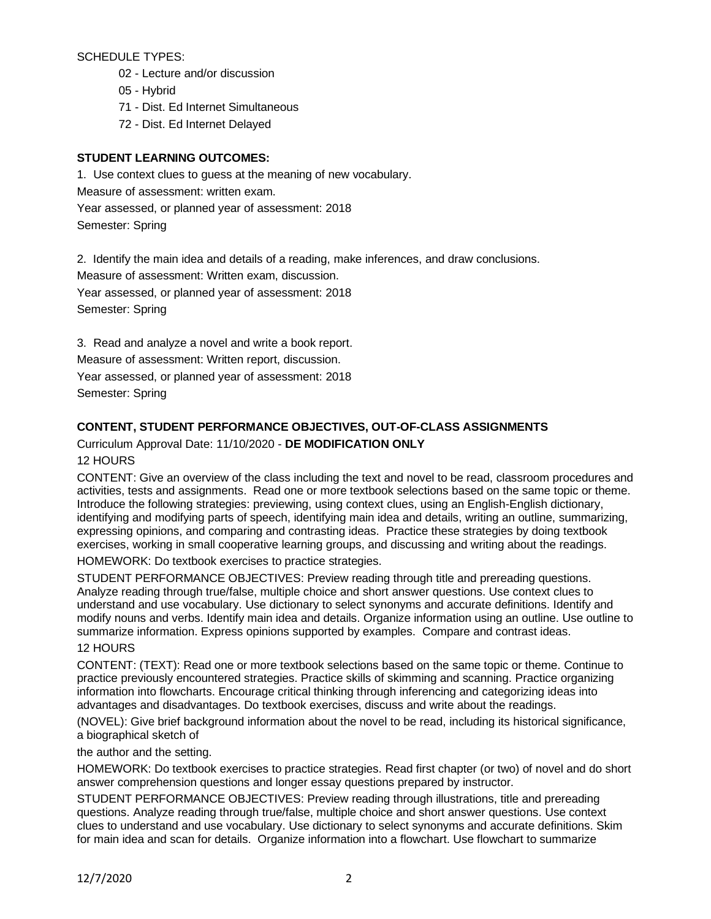SCHEDULE TYPES:

- 02 Lecture and/or discussion
- 05 Hybrid
- 71 Dist. Ed Internet Simultaneous
- 72 Dist. Ed Internet Delayed

## **STUDENT LEARNING OUTCOMES:**

1. Use context clues to guess at the meaning of new vocabulary. Measure of assessment: written exam. Year assessed, or planned year of assessment: 2018 Semester: Spring

2. Identify the main idea and details of a reading, make inferences, and draw conclusions.

Measure of assessment: Written exam, discussion.

Year assessed, or planned year of assessment: 2018 Semester: Spring

3. Read and analyze a novel and write a book report. Measure of assessment: Written report, discussion. Year assessed, or planned year of assessment: 2018 Semester: Spring

# **CONTENT, STUDENT PERFORMANCE OBJECTIVES, OUT-OF-CLASS ASSIGNMENTS**

Curriculum Approval Date: 11/10/2020 - **DE MODIFICATION ONLY**

12 HOURS

CONTENT: Give an overview of the class including the text and novel to be read, classroom procedures and activities, tests and assignments. Read one or more textbook selections based on the same topic or theme. Introduce the following strategies: previewing, using context clues, using an English-English dictionary, identifying and modifying parts of speech, identifying main idea and details, writing an outline, summarizing, expressing opinions, and comparing and contrasting ideas. Practice these strategies by doing textbook exercises, working in small cooperative learning groups, and discussing and writing about the readings.

HOMEWORK: Do textbook exercises to practice strategies.

STUDENT PERFORMANCE OBJECTIVES: Preview reading through title and prereading questions. Analyze reading through true/false, multiple choice and short answer questions. Use context clues to understand and use vocabulary. Use dictionary to select synonyms and accurate definitions. Identify and modify nouns and verbs. Identify main idea and details. Organize information using an outline. Use outline to summarize information. Express opinions supported by examples. Compare and contrast ideas.

## 12 HOURS

CONTENT: (TEXT): Read one or more textbook selections based on the same topic or theme. Continue to practice previously encountered strategies. Practice skills of skimming and scanning. Practice organizing information into flowcharts. Encourage critical thinking through inferencing and categorizing ideas into advantages and disadvantages. Do textbook exercises, discuss and write about the readings.

(NOVEL): Give brief background information about the novel to be read, including its historical significance, a biographical sketch of

the author and the setting.

HOMEWORK: Do textbook exercises to practice strategies. Read first chapter (or two) of novel and do short answer comprehension questions and longer essay questions prepared by instructor.

STUDENT PERFORMANCE OBJECTIVES: Preview reading through illustrations, title and prereading questions. Analyze reading through true/false, multiple choice and short answer questions. Use context clues to understand and use vocabulary. Use dictionary to select synonyms and accurate definitions. Skim for main idea and scan for details. Organize information into a flowchart. Use flowchart to summarize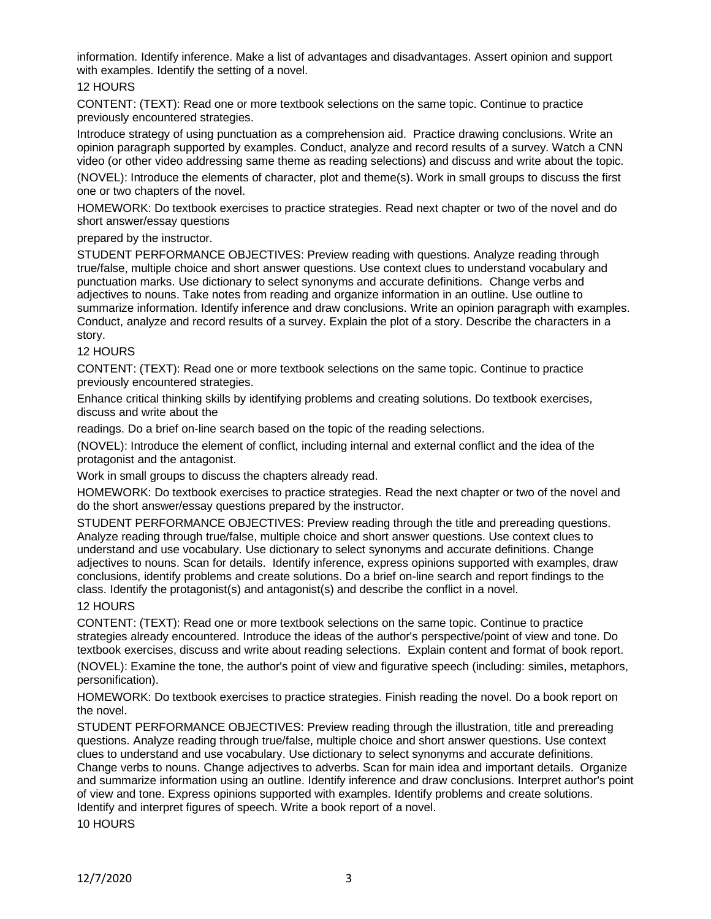information. Identify inference. Make a list of advantages and disadvantages. Assert opinion and support with examples. Identify the setting of a novel.

## 12 HOURS

CONTENT: (TEXT): Read one or more textbook selections on the same topic. Continue to practice previously encountered strategies.

Introduce strategy of using punctuation as a comprehension aid. Practice drawing conclusions. Write an opinion paragraph supported by examples. Conduct, analyze and record results of a survey. Watch a CNN video (or other video addressing same theme as reading selections) and discuss and write about the topic.

(NOVEL): Introduce the elements of character, plot and theme(s). Work in small groups to discuss the first one or two chapters of the novel.

HOMEWORK: Do textbook exercises to practice strategies. Read next chapter or two of the novel and do short answer/essay questions

#### prepared by the instructor.

STUDENT PERFORMANCE OBJECTIVES: Preview reading with questions. Analyze reading through true/false, multiple choice and short answer questions. Use context clues to understand vocabulary and punctuation marks. Use dictionary to select synonyms and accurate definitions. Change verbs and adjectives to nouns. Take notes from reading and organize information in an outline. Use outline to summarize information. Identify inference and draw conclusions. Write an opinion paragraph with examples. Conduct, analyze and record results of a survey. Explain the plot of a story. Describe the characters in a story.

#### 12 HOURS

CONTENT: (TEXT): Read one or more textbook selections on the same topic. Continue to practice previously encountered strategies.

Enhance critical thinking skills by identifying problems and creating solutions. Do textbook exercises, discuss and write about the

readings. Do a brief on-line search based on the topic of the reading selections.

(NOVEL): Introduce the element of conflict, including internal and external conflict and the idea of the protagonist and the antagonist.

Work in small groups to discuss the chapters already read.

HOMEWORK: Do textbook exercises to practice strategies. Read the next chapter or two of the novel and do the short answer/essay questions prepared by the instructor.

STUDENT PERFORMANCE OBJECTIVES: Preview reading through the title and prereading questions. Analyze reading through true/false, multiple choice and short answer questions. Use context clues to understand and use vocabulary. Use dictionary to select synonyms and accurate definitions. Change adjectives to nouns. Scan for details. Identify inference, express opinions supported with examples, draw conclusions, identify problems and create solutions. Do a brief on-line search and report findings to the class. Identify the protagonist(s) and antagonist(s) and describe the conflict in a novel.

#### 12 HOURS

CONTENT: (TEXT): Read one or more textbook selections on the same topic. Continue to practice strategies already encountered. Introduce the ideas of the author's perspective/point of view and tone. Do textbook exercises, discuss and write about reading selections. Explain content and format of book report.

(NOVEL): Examine the tone, the author's point of view and figurative speech (including: similes, metaphors, personification).

HOMEWORK: Do textbook exercises to practice strategies. Finish reading the novel. Do a book report on the novel.

STUDENT PERFORMANCE OBJECTIVES: Preview reading through the illustration, title and prereading questions. Analyze reading through true/false, multiple choice and short answer questions. Use context clues to understand and use vocabulary. Use dictionary to select synonyms and accurate definitions. Change verbs to nouns. Change adjectives to adverbs. Scan for main idea and important details. Organize and summarize information using an outline. Identify inference and draw conclusions. Interpret author's point of view and tone. Express opinions supported with examples. Identify problems and create solutions. Identify and interpret figures of speech. Write a book report of a novel.

10 HOURS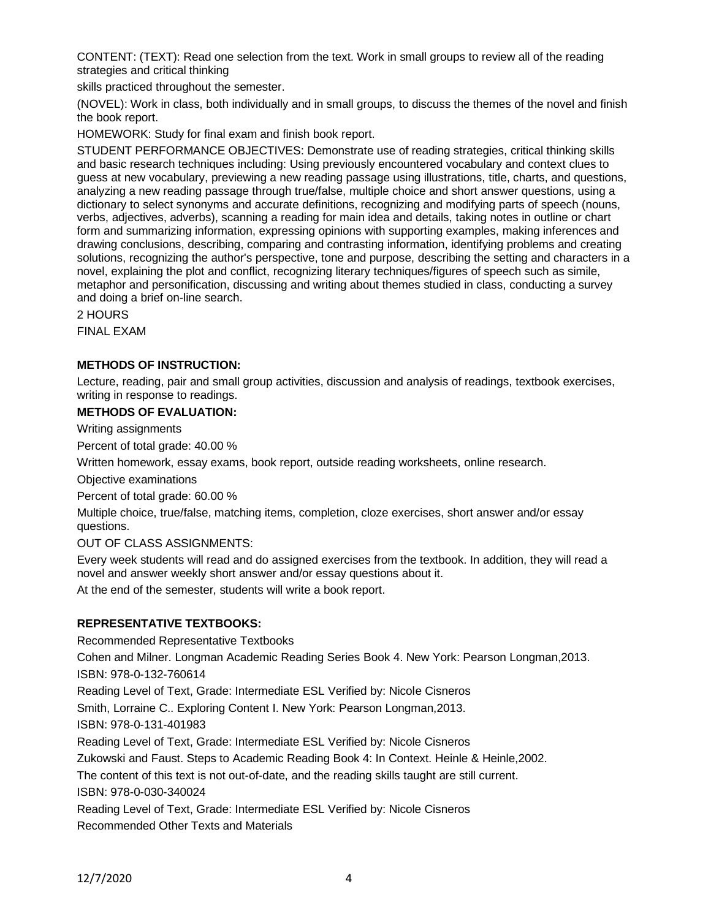CONTENT: (TEXT): Read one selection from the text. Work in small groups to review all of the reading strategies and critical thinking

skills practiced throughout the semester.

(NOVEL): Work in class, both individually and in small groups, to discuss the themes of the novel and finish the book report.

HOMEWORK: Study for final exam and finish book report.

STUDENT PERFORMANCE OBJECTIVES: Demonstrate use of reading strategies, critical thinking skills and basic research techniques including: Using previously encountered vocabulary and context clues to guess at new vocabulary, previewing a new reading passage using illustrations, title, charts, and questions, analyzing a new reading passage through true/false, multiple choice and short answer questions, using a dictionary to select synonyms and accurate definitions, recognizing and modifying parts of speech (nouns, verbs, adjectives, adverbs), scanning a reading for main idea and details, taking notes in outline or chart form and summarizing information, expressing opinions with supporting examples, making inferences and drawing conclusions, describing, comparing and contrasting information, identifying problems and creating solutions, recognizing the author's perspective, tone and purpose, describing the setting and characters in a novel, explaining the plot and conflict, recognizing literary techniques/figures of speech such as simile, metaphor and personification, discussing and writing about themes studied in class, conducting a survey and doing a brief on-line search.

2 HOURS

FINAL EXAM

## **METHODS OF INSTRUCTION:**

Lecture, reading, pair and small group activities, discussion and analysis of readings, textbook exercises, writing in response to readings.

## **METHODS OF EVALUATION:**

Writing assignments

Percent of total grade: 40.00 %

Written homework, essay exams, book report, outside reading worksheets, online research.

Objective examinations

Percent of total grade: 60.00 %

Multiple choice, true/false, matching items, completion, cloze exercises, short answer and/or essay questions.

#### OUT OF CLASS ASSIGNMENTS:

Every week students will read and do assigned exercises from the textbook. In addition, they will read a novel and answer weekly short answer and/or essay questions about it.

At the end of the semester, students will write a book report.

#### **REPRESENTATIVE TEXTBOOKS:**

Recommended Representative Textbooks Cohen and Milner. Longman Academic Reading Series Book 4. New York: Pearson Longman,2013. ISBN: 978-0-132-760614 Reading Level of Text, Grade: Intermediate ESL Verified by: Nicole Cisneros Smith, Lorraine C.. Exploring Content I. New York: Pearson Longman,2013. ISBN: 978-0-131-401983 Reading Level of Text, Grade: Intermediate ESL Verified by: Nicole Cisneros Zukowski and Faust. Steps to Academic Reading Book 4: In Context. Heinle & Heinle,2002. The content of this text is not out-of-date, and the reading skills taught are still current. ISBN: 978-0-030-340024 Reading Level of Text, Grade: Intermediate ESL Verified by: Nicole Cisneros Recommended Other Texts and Materials